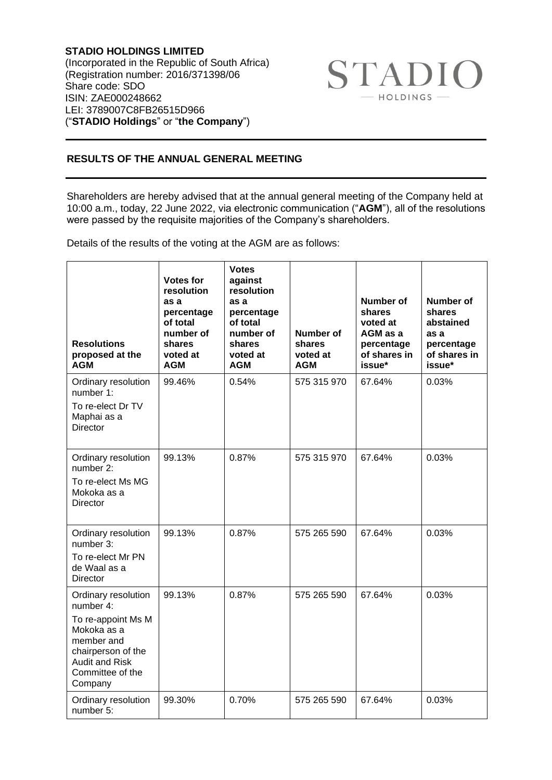**STADIO HOLDINGS LIMITED** (Incorporated in the Republic of South Africa) (Registration number: 2016/371398/06 Share code: SDO ISIN: ZAE000248662 LEI: 3789007C8FB26515D966 ("**STADIO Holdings**" or "**the Company**")



## **RESULTS OF THE ANNUAL GENERAL MEETING**

Shareholders are hereby advised that at the annual general meeting of the Company held at 10:00 a.m., today, 22 June 2022, via electronic communication ("**AGM**"), all of the resolutions were passed by the requisite majorities of the Company's shareholders.

Details of the results of the voting at the AGM are as follows:

| <b>Resolutions</b><br>proposed at the<br><b>AGM</b>                                                                                                               | <b>Votes for</b><br>resolution<br>as a<br>percentage<br>of total<br>number of<br>shares<br>voted at<br><b>AGM</b> | <b>Votes</b><br>against<br>resolution<br>as a<br>percentage<br>of total<br>number of<br>shares<br>voted at<br><b>AGM</b> | <b>Number of</b><br>shares<br>voted at<br><b>AGM</b> | <b>Number of</b><br>shares<br>voted at<br>AGM as a<br>percentage<br>of shares in<br>issue* | <b>Number of</b><br>shares<br>abstained<br>as a<br>percentage<br>of shares in<br>issue* |
|-------------------------------------------------------------------------------------------------------------------------------------------------------------------|-------------------------------------------------------------------------------------------------------------------|--------------------------------------------------------------------------------------------------------------------------|------------------------------------------------------|--------------------------------------------------------------------------------------------|-----------------------------------------------------------------------------------------|
| Ordinary resolution<br>number 1:<br>To re-elect Dr TV<br>Maphai as a<br>Director                                                                                  | 99.46%                                                                                                            | 0.54%                                                                                                                    | 575 315 970                                          | 67.64%                                                                                     | 0.03%                                                                                   |
| Ordinary resolution<br>number 2:<br>To re-elect Ms MG<br>Mokoka as a<br><b>Director</b>                                                                           | 99.13%                                                                                                            | 0.87%                                                                                                                    | 575 315 970                                          | 67.64%                                                                                     | 0.03%                                                                                   |
| Ordinary resolution<br>number 3:<br>To re-elect Mr PN<br>de Waal as a<br>Director                                                                                 | 99.13%                                                                                                            | 0.87%                                                                                                                    | 575 265 590                                          | 67.64%                                                                                     | 0.03%                                                                                   |
| Ordinary resolution<br>number 4:<br>To re-appoint Ms M<br>Mokoka as a<br>member and<br>chairperson of the<br><b>Audit and Risk</b><br>Committee of the<br>Company | 99.13%                                                                                                            | 0.87%                                                                                                                    | 575 265 590                                          | 67.64%                                                                                     | 0.03%                                                                                   |
| Ordinary resolution<br>number 5:                                                                                                                                  | 99.30%                                                                                                            | 0.70%                                                                                                                    | 575 265 590                                          | 67.64%                                                                                     | 0.03%                                                                                   |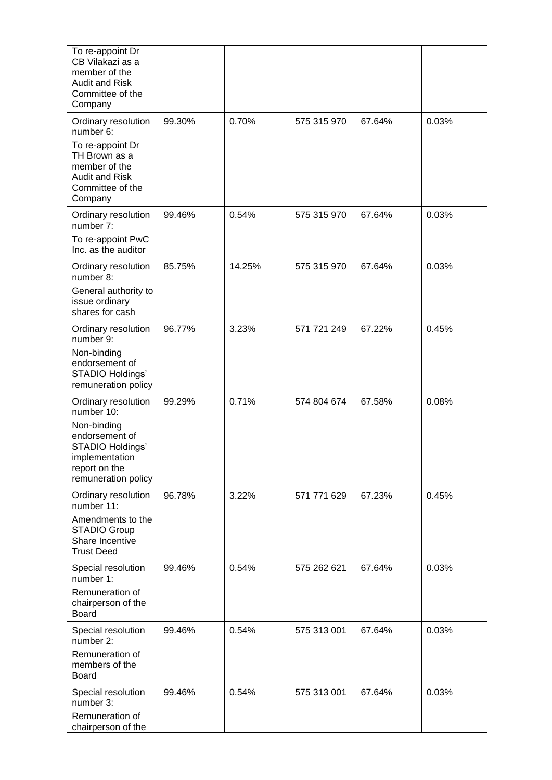| To re-appoint Dr<br>CB Vilakazi as a<br>member of the<br><b>Audit and Risk</b><br>Committee of the<br>Company |        |        |             |        |       |
|---------------------------------------------------------------------------------------------------------------|--------|--------|-------------|--------|-------|
| Ordinary resolution<br>number 6:                                                                              | 99.30% | 0.70%  | 575 315 970 | 67.64% | 0.03% |
| To re-appoint Dr<br>TH Brown as a<br>member of the<br><b>Audit and Risk</b><br>Committee of the<br>Company    |        |        |             |        |       |
| Ordinary resolution<br>number 7:                                                                              | 99.46% | 0.54%  | 575 315 970 | 67.64% | 0.03% |
| To re-appoint PwC<br>Inc. as the auditor                                                                      |        |        |             |        |       |
| Ordinary resolution<br>number 8:                                                                              | 85.75% | 14.25% | 575 315 970 | 67.64% | 0.03% |
| General authority to<br>issue ordinary<br>shares for cash                                                     |        |        |             |        |       |
| Ordinary resolution<br>number 9:                                                                              | 96.77% | 3.23%  | 571 721 249 | 67.22% | 0.45% |
| Non-binding<br>endorsement of<br>STADIO Holdings'<br>remuneration policy                                      |        |        |             |        |       |
| Ordinary resolution<br>number 10:                                                                             | 99.29% | 0.71%  | 574 804 674 | 67.58% | 0.08% |
| Non-binding<br>endorsement of<br>STADIO Holdings'<br>implementation<br>report on the<br>remuneration policy   |        |        |             |        |       |
| Ordinary resolution<br>number 11:                                                                             | 96.78% | 3.22%  | 571 771 629 | 67.23% | 0.45% |
| Amendments to the<br><b>STADIO Group</b><br>Share Incentive<br><b>Trust Deed</b>                              |        |        |             |        |       |
| Special resolution<br>number 1:                                                                               | 99.46% | 0.54%  | 575 262 621 | 67.64% | 0.03% |
| Remuneration of<br>chairperson of the<br>Board                                                                |        |        |             |        |       |
| Special resolution<br>number 2:                                                                               | 99.46% | 0.54%  | 575 313 001 | 67.64% | 0.03% |
| Remuneration of<br>members of the<br><b>Board</b>                                                             |        |        |             |        |       |
| Special resolution<br>number 3:                                                                               | 99.46% | 0.54%  | 575 313 001 | 67.64% | 0.03% |
| Remuneration of<br>chairperson of the                                                                         |        |        |             |        |       |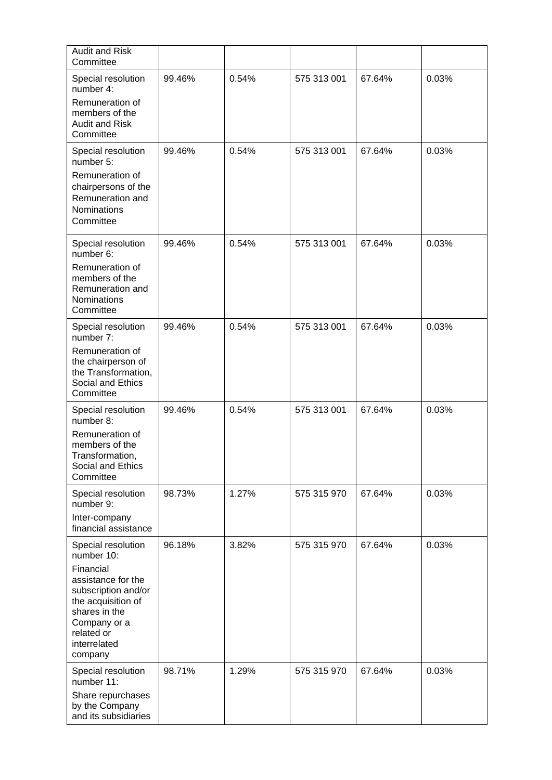| <b>Audit and Risk</b><br>Committee                                                                                                                                                         |        |       |             |        |       |
|--------------------------------------------------------------------------------------------------------------------------------------------------------------------------------------------|--------|-------|-------------|--------|-------|
| Special resolution<br>number 4:<br>Remuneration of<br>members of the<br><b>Audit and Risk</b><br>Committee                                                                                 | 99.46% | 0.54% | 575 313 001 | 67.64% | 0.03% |
| Special resolution<br>number 5:<br>Remuneration of<br>chairpersons of the<br>Remuneration and<br>Nominations<br>Committee                                                                  | 99.46% | 0.54% | 575 313 001 | 67.64% | 0.03% |
| Special resolution<br>number 6:<br>Remuneration of<br>members of the<br>Remuneration and<br>Nominations<br>Committee                                                                       | 99.46% | 0.54% | 575 313 001 | 67.64% | 0.03% |
| Special resolution<br>number 7:<br>Remuneration of<br>the chairperson of<br>the Transformation,<br>Social and Ethics<br>Committee                                                          | 99.46% | 0.54% | 575 313 001 | 67.64% | 0.03% |
| Special resolution<br>number 8:<br>Remuneration of<br>members of the<br>Transformation,<br>Social and Ethics<br>Committee                                                                  | 99.46% | 0.54% | 575 313 001 | 67.64% | 0.03% |
| Special resolution<br>number 9:<br>Inter-company<br>financial assistance                                                                                                                   | 98.73% | 1.27% | 575 315 970 | 67.64% | 0.03% |
| Special resolution<br>number 10:<br>Financial<br>assistance for the<br>subscription and/or<br>the acquisition of<br>shares in the<br>Company or a<br>related or<br>interrelated<br>company | 96.18% | 3.82% | 575 315 970 | 67.64% | 0.03% |
| Special resolution<br>number 11:<br>Share repurchases<br>by the Company<br>and its subsidiaries                                                                                            | 98.71% | 1.29% | 575 315 970 | 67.64% | 0.03% |